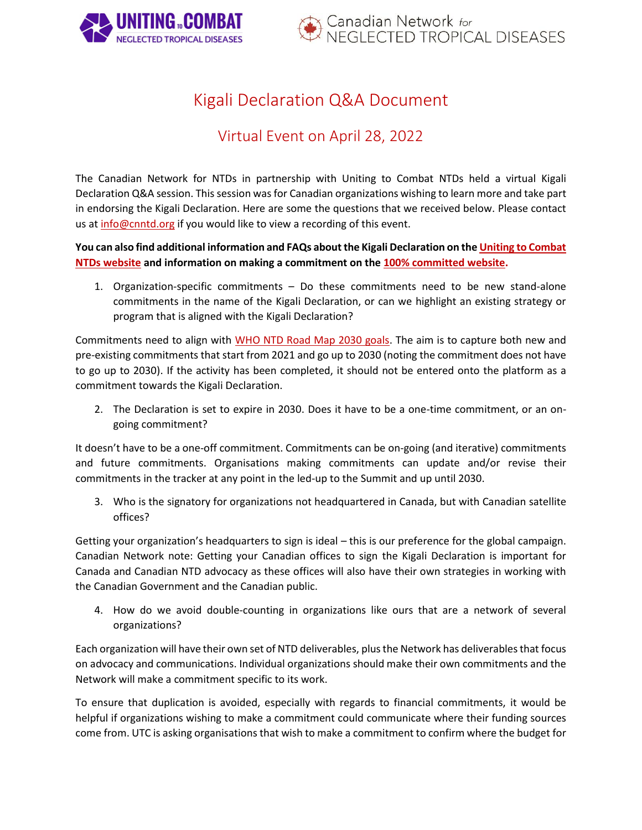



# Kigali Declaration Q&A Document

## Virtual Event on April 28, 2022

The Canadian Network for NTDs in partnership with Uniting to Combat NTDs held a virtual Kigali Declaration Q&A session. This session was for Canadian organizations wishing to learn more and take part in endorsing the Kigali Declaration. Here are some the questions that we received below. Please contact us at [info@cnntd.org](mailto:info@cnntd.org) if you would like to view a recording of this event.

### **You can also find additional information and FAQs about the Kigali Declaration on th[e Uniting to Combat](https://unitingtocombatntds.org/kigali-declaration/faqs/)  [NTDs website](https://unitingtocombatntds.org/kigali-declaration/faqs/) and information on making a commitment on th[e 100% committed website.](https://100percentcommitted.com/commitments-and-endorsements/)**

1. Organization-specific commitments – Do these commitments need to be new stand-alone commitments in the name of the Kigali Declaration, or can we highlight an existing strategy or program that is aligned with the Kigali Declaration?

Commitments need to align with [WHO NTD Road Map 2030 goals.](https://www.who.int/publications/i/item/9789240010352) The aim is to capture both new and pre-existing commitments that start from 2021 and go up to 2030 (noting the commitment does not have to go up to 2030). If the activity has been completed, it should not be entered onto the platform as a commitment towards the Kigali Declaration.

2. The Declaration is set to expire in 2030. Does it have to be a one-time commitment, or an ongoing commitment?

It doesn't have to be a one-off commitment. Commitments can be on-going (and iterative) commitments and future commitments. Organisations making commitments can update and/or revise their commitments in the tracker at any point in the led-up to the Summit and up until 2030.

3. Who is the signatory for organizations not headquartered in Canada, but with Canadian satellite offices?

Getting your organization's headquarters to sign is ideal – this is our preference for the global campaign. Canadian Network note: Getting your Canadian offices to sign the Kigali Declaration is important for Canada and Canadian NTD advocacy as these offices will also have their own strategies in working with the Canadian Government and the Canadian public.

4. How do we avoid double-counting in organizations like ours that are a network of several organizations?

Each organization will have their own set of NTD deliverables, plus the Network has deliverables that focus on advocacy and communications. Individual organizations should make their own commitments and the Network will make a commitment specific to its work.

To ensure that duplication is avoided, especially with regards to financial commitments, it would be helpful if organizations wishing to make a commitment could communicate where their funding sources come from. UTC is asking organisations that wish to make a commitment to confirm where the budget for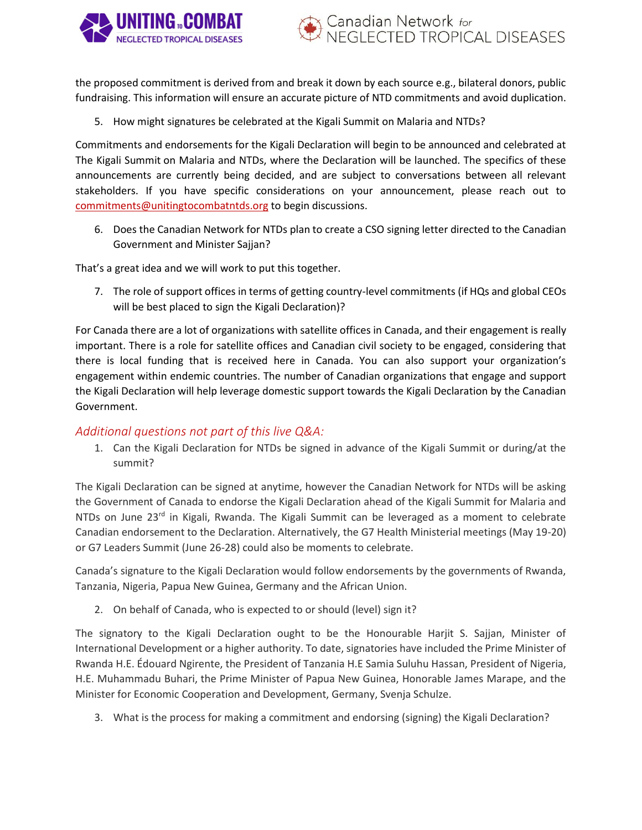



the proposed commitment is derived from and break it down by each source e.g., bilateral donors, public fundraising. This information will ensure an accurate picture of NTD commitments and avoid duplication.

5. How might signatures be celebrated at the Kigali Summit on Malaria and NTDs?

Commitments and endorsements for the Kigali Declaration will begin to be announced and celebrated at The Kigali Summit on Malaria and NTDs, where the Declaration will be launched. The specifics of these announcements are currently being decided, and are subject to conversations between all relevant stakeholders. If you have specific considerations on your announcement, please reach out to [commitments@unitingtocombatntds.org](mailto:commitments@unitingtocombatntds.org) to begin discussions.

6. Does the Canadian Network for NTDs plan to create a CSO signing letter directed to the Canadian Government and Minister Sajjan?

That's a great idea and we will work to put this together.

7. The role of support offices in terms of getting country-level commitments (if HQs and global CEOs will be best placed to sign the Kigali Declaration)?

For Canada there are a lot of organizations with satellite offices in Canada, and their engagement is really important. There is a role for satellite offices and Canadian civil society to be engaged, considering that there is local funding that is received here in Canada. You can also support your organization's engagement within endemic countries. The number of Canadian organizations that engage and support the Kigali Declaration will help leverage domestic support towards the Kigali Declaration by the Canadian Government.

#### *Additional questions not part of this live Q&A:*

1. Can the Kigali Declaration for NTDs be signed in advance of the Kigali Summit or during/at the summit?

The Kigali Declaration can be signed at anytime, however the Canadian Network for NTDs will be asking the Government of Canada to endorse the Kigali Declaration ahead of the Kigali Summit for Malaria and NTDs on June 23<sup>rd</sup> in Kigali, Rwanda. The Kigali Summit can be leveraged as a moment to celebrate Canadian endorsement to the Declaration. Alternatively, the G7 Health Ministerial meetings (May 19-20) or G7 Leaders Summit (June 26-28) could also be moments to celebrate.

Canada's signature to the Kigali Declaration would follow endorsements by the governments of Rwanda, Tanzania, Nigeria, Papua New Guinea, Germany and the African Union.

2. On behalf of Canada, who is expected to or should (level) sign it?

The signatory to the Kigali Declaration ought to be the Honourable Harjit S. Sajjan, Minister of International Development or a higher authority. To date, signatories have included the Prime Minister of Rwanda H.E. Édouard Ngirente, the President of Tanzania H.E Samia Suluhu Hassan, President of Nigeria, H.E. Muhammadu Buhari, the Prime Minister of Papua New Guinea, Honorable James Marape, and the Minister for Economic Cooperation and Development, Germany, Svenja Schulze.

3. What is the process for making a commitment and endorsing (signing) the Kigali Declaration?